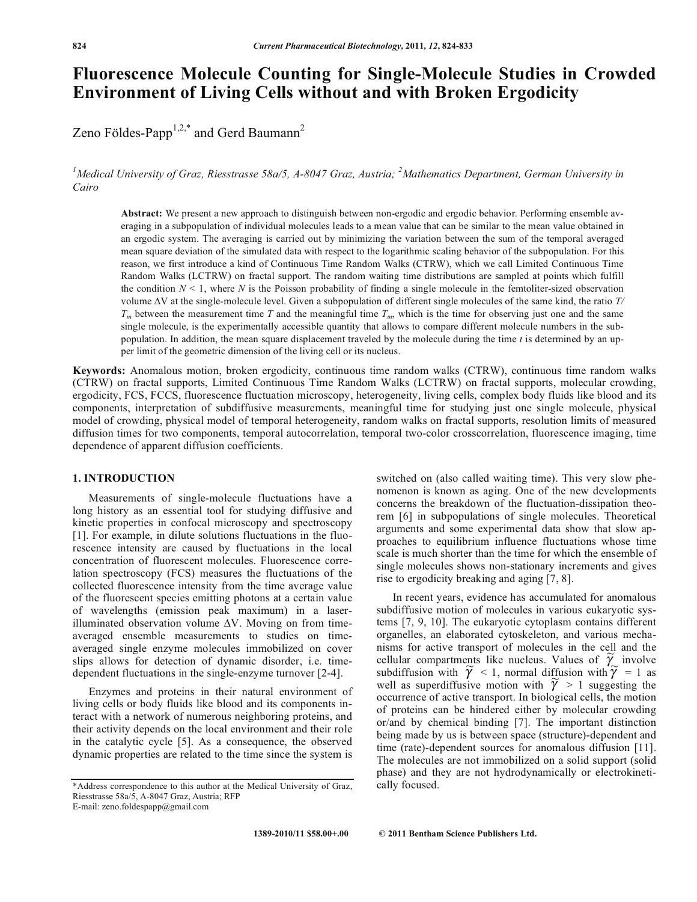# **Fluorescence Molecule Counting for Single-Molecule Studies in Crowded Environment of Living Cells without and with Broken Ergodicity**

Zeno Földes-Papp<sup>1,2,\*</sup> and Gerd Baumann<sup>2</sup>

<sup>1</sup>Medical University of Graz, Riesstrasse 58a/5, A-8047 Graz, Austria; <sup>2</sup>Mathematics Department, German University in *Cairo* 

**Abstract:** We present a new approach to distinguish between non-ergodic and ergodic behavior. Performing ensemble averaging in a subpopulation of individual molecules leads to a mean value that can be similar to the mean value obtained in an ergodic system. The averaging is carried out by minimizing the variation between the sum of the temporal averaged mean square deviation of the simulated data with respect to the logarithmic scaling behavior of the subpopulation. For this reason, we first introduce a kind of Continuous Time Random Walks (CTRW), which we call Limited Continuous Time Random Walks (LCTRW) on fractal support. The random waiting time distributions are sampled at points which fulfill the condition  $N < 1$ , where N is the Poisson probability of finding a single molecule in the femtoliter-sized observation volume  $\Delta V$  at the single-molecule level. Given a subpopulation of different single molecules of the same kind, the ratio  $T/$ *Tm* between the measurement time *T* and the meaningful time *Tm*, which is the time for observing just one and the same single molecule, is the experimentally accessible quantity that allows to compare different molecule numbers in the subpopulation. In addition, the mean square displacement traveled by the molecule during the time *t* is determined by an upper limit of the geometric dimension of the living cell or its nucleus.

**Keywords:** Anomalous motion, broken ergodicity, continuous time random walks (CTRW), continuous time random walks (CTRW) on fractal supports, Limited Continuous Time Random Walks (LCTRW) on fractal supports, molecular crowding, ergodicity, FCS, FCCS, fluorescence fluctuation microscopy, heterogeneity, living cells, complex body fluids like blood and its components, interpretation of subdiffusive measurements, meaningful time for studying just one single molecule, physical model of crowding, physical model of temporal heterogeneity, random walks on fractal supports, resolution limits of measured diffusion times for two components, temporal autocorrelation, temporal two-color crosscorrelation, fluorescence imaging, time dependence of apparent diffusion coefficients.

## **1. INTRODUCTION**

 Measurements of single-molecule fluctuations have a long history as an essential tool for studying diffusive and kinetic properties in confocal microscopy and spectroscopy [1]. For example, in dilute solutions fluctuations in the fluorescence intensity are caused by fluctuations in the local concentration of fluorescent molecules. Fluorescence correlation spectroscopy (FCS) measures the fluctuations of the collected fluorescence intensity from the time average value of the fluorescent species emitting photons at a certain value of wavelengths (emission peak maximum) in a laserilluminated observation volume  $\Delta V$ . Moving on from timeaveraged ensemble measurements to studies on timeaveraged single enzyme molecules immobilized on cover slips allows for detection of dynamic disorder, i.e. timedependent fluctuations in the single-enzyme turnover [2-4].

 Enzymes and proteins in their natural environment of living cells or body fluids like blood and its components interact with a network of numerous neighboring proteins, and their activity depends on the local environment and their role in the catalytic cycle [5]. As a consequence, the observed dynamic properties are related to the time since the system is

switched on (also called waiting time). This very slow phenomenon is known as aging. One of the new developments concerns the breakdown of the fluctuation-dissipation theorem [6] in subpopulations of single molecules. Theoretical arguments and some experimental data show that slow approaches to equilibrium influence fluctuations whose time scale is much shorter than the time for which the ensemble of single molecules shows non-stationary increments and gives rise to ergodicity breaking and aging [7, 8].

 In recent years, evidence has accumulated for anomalous subdiffusive motion of molecules in various eukaryotic systems [7, 9, 10]. The eukaryotic cytoplasm contains different organelles, an elaborated cytoskeleton, and various mechanisms for active transport of molecules in the cell and the msins for active transport of molecules in the cent and the cellular compartments like nucleus. Values of  $\widetilde{\gamma}$  involve subdiffusion with  $\tilde{\gamma}$  < 1, normal diffusion with  $\tilde{\gamma}$  = 1 as subditured with  $\gamma > 1$ , hormal diffusion with  $\gamma = 1$  as<br>well as superdiffusive motion with  $\gamma > 1$  suggesting the occurrence of active transport. In biological cells, the motion of proteins can be hindered either by molecular crowding or/and by chemical binding [7]. The important distinction being made by us is between space (structure)-dependent and time (rate)-dependent sources for anomalous diffusion [11]. The molecules are not immobilized on a solid support (solid phase) and they are not hydrodynamically or electrokinetically focused.

<sup>\*</sup>Address correspondence to this author at the Medical University of Graz, Riesstrasse 58a/5, A-8047 Graz, Austria; RFP E-mail: zeno.foldespapp@gmail.com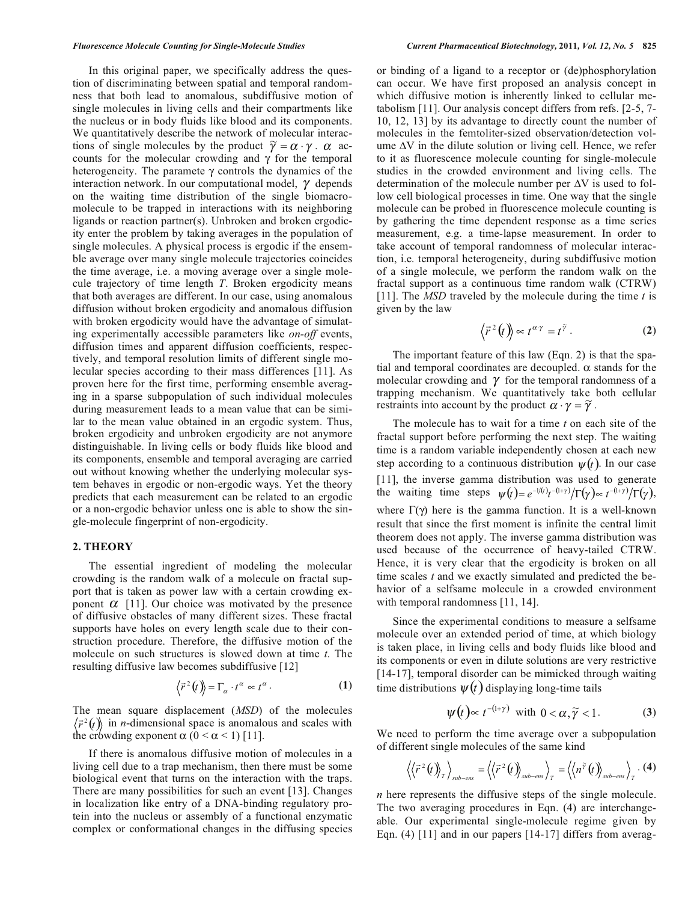In this original paper, we specifically address the question of discriminating between spatial and temporal randomness that both lead to anomalous, subdiffusive motion of single molecules in living cells and their compartments like the nucleus or in body fluids like blood and its components. We quantitatively describe the network of molecular interactions of single molecules by the product  $\tilde{\gamma} = \alpha \cdot \gamma$ .  $\alpha$  accounts for the molecular crowding and  $\gamma$  for the temporal heterogeneity. The paramete  $\gamma$  controls the dynamics of the interaction network. In our computational model,  $\gamma$  depends on the waiting time distribution of the single biomacromolecule to be trapped in interactions with its neighboring ligands or reaction partner(s). Unbroken and broken ergodicity enter the problem by taking averages in the population of single molecules. A physical process is ergodic if the ensemble average over many single molecule trajectories coincides the time average, i.e. a moving average over a single molecule trajectory of time length *T*. Broken ergodicity means that both averages are different. In our case, using anomalous diffusion without broken ergodicity and anomalous diffusion with broken ergodicity would have the advantage of simulating experimentally accessible parameters like *on-off* events, diffusion times and apparent diffusion coefficients, respectively, and temporal resolution limits of different single molecular species according to their mass differences [11]. As proven here for the first time, performing ensemble averaging in a sparse subpopulation of such individual molecules during measurement leads to a mean value that can be similar to the mean value obtained in an ergodic system. Thus, broken ergodicity and unbroken ergodicity are not anymore distinguishable. In living cells or body fluids like blood and its components, ensemble and temporal averaging are carried out without knowing whether the underlying molecular system behaves in ergodic or non-ergodic ways. Yet the theory predicts that each measurement can be related to an ergodic or a non-ergodic behavior unless one is able to show the single-molecule fingerprint of non-ergodicity.

#### **2. THEORY**

 The essential ingredient of modeling the molecular crowding is the random walk of a molecule on fractal support that is taken as power law with a certain crowding exponent  $\alpha$  [11]. Our choice was motivated by the presence of diffusive obstacles of many different sizes. These fractal supports have holes on every length scale due to their construction procedure. Therefore, the diffusive motion of the molecule on such structures is slowed down at time *t*. The resulting diffusive law becomes subdiffusive [12]

$$
\langle \vec{r}^2(t) \rangle = \Gamma_\alpha \cdot t^\alpha \propto t^\alpha.
$$
 (1)

The mean square displacement (*MSD*) of the molecules *r*  $\vec{r}^2(t)$  in *n*-dimensional space is anomalous and scales with the crowding exponent  $\alpha$  ( $0 < \alpha < 1$ ) [11].

 If there is anomalous diffusive motion of molecules in a living cell due to a trap mechanism, then there must be some biological event that turns on the interaction with the traps. There are many possibilities for such an event [13]. Changes in localization like entry of a DNA-binding regulatory protein into the nucleus or assembly of a functional enzymatic complex or conformational changes in the diffusing species or binding of a ligand to a receptor or (de)phosphorylation can occur. We have first proposed an analysis concept in which diffusive motion is inherently linked to cellular metabolism [11]. Our analysis concept differs from refs. [2-5, 7- 10, 12, 13] by its advantage to directly count the number of molecules in the femtoliter-sized observation/detection volume  $\Delta V$  in the dilute solution or living cell. Hence, we refer to it as fluorescence molecule counting for single-molecule studies in the crowded environment and living cells. The determination of the molecule number per  $\Delta V$  is used to follow cell biological processes in time. One way that the single molecule can be probed in fluorescence molecule counting is by gathering the time dependent response as a time series measurement, e.g. a time-lapse measurement. In order to take account of temporal randomness of molecular interaction, i.e. temporal heterogeneity, during subdiffusive motion of a single molecule, we perform the random walk on the fractal support as a continuous time random walk (CTRW) [11]. The *MSD* traveled by the molecule during the time *t* is given by the law

$$
\langle \vec{r}^2(t) \rangle \propto t^{\alpha \gamma} = t^{\widetilde{\gamma}} . \tag{2}
$$

 The important feature of this law (Eqn. 2) is that the spatial and temporal coordinates are decoupled.  $\alpha$  stands for the molecular crowding and  $\gamma$  for the temporal randomness of a trapping mechanism. We quantitatively take both cellular restraints into account by the product  $\alpha \cdot \gamma = \tilde{\gamma}$ .

 The molecule has to wait for a time *t* on each site of the fractal support before performing the next step. The waiting time is a random variable independently chosen at each new step according to a continuous distribution  $\psi(t)$ . In our case [11], the inverse gamma distribution was used to generate the waiting time steps  $\psi(t) = e^{-i/(t)} t^{-(1+\gamma)} / \Gamma(\gamma) \propto t^{-(1+\gamma)} / \Gamma(\gamma)$ , where  $\Gamma(\gamma)$  here is the gamma function. It is a well-known result that since the first moment is infinite the central limit theorem does not apply. The inverse gamma distribution was used because of the occurrence of heavy-tailed CTRW. Hence, it is very clear that the ergodicity is broken on all time scales *t* and we exactly simulated and predicted the behavior of a selfsame molecule in a crowded environment with temporal randomness [11, 14].

 Since the experimental conditions to measure a selfsame molecule over an extended period of time, at which biology is taken place, in living cells and body fluids like blood and its components or even in dilute solutions are very restrictive [14-17], temporal disorder can be mimicked through waiting time distributions  $\psi(t)$  displaying long-time tails

$$
\psi(t) \propto t^{-(1+\gamma)} \text{ with } 0 < \alpha, \widetilde{\gamma} < 1. \tag{3}
$$

We need to perform the time average over a subpopulation of different single molecules of the same kind

$$
\left\langle \left\langle \vec{r}^2(t)\right\rangle_{T}\right\rangle_{sub-ens}=\left\langle \left\langle \vec{r}^2(t)\right\rangle_{sub-ens}\right\rangle_{T}=\left\langle \left\langle n^{\widetilde{\gamma}}(t)\right\rangle_{sub-ens}\right\rangle_{T}.\ (4)
$$

*n* here represents the diffusive steps of the single molecule. The two averaging procedures in Eqn. (4) are interchangeable. Our experimental single-molecule regime given by Eqn. (4) [11] and in our papers [14-17] differs from averag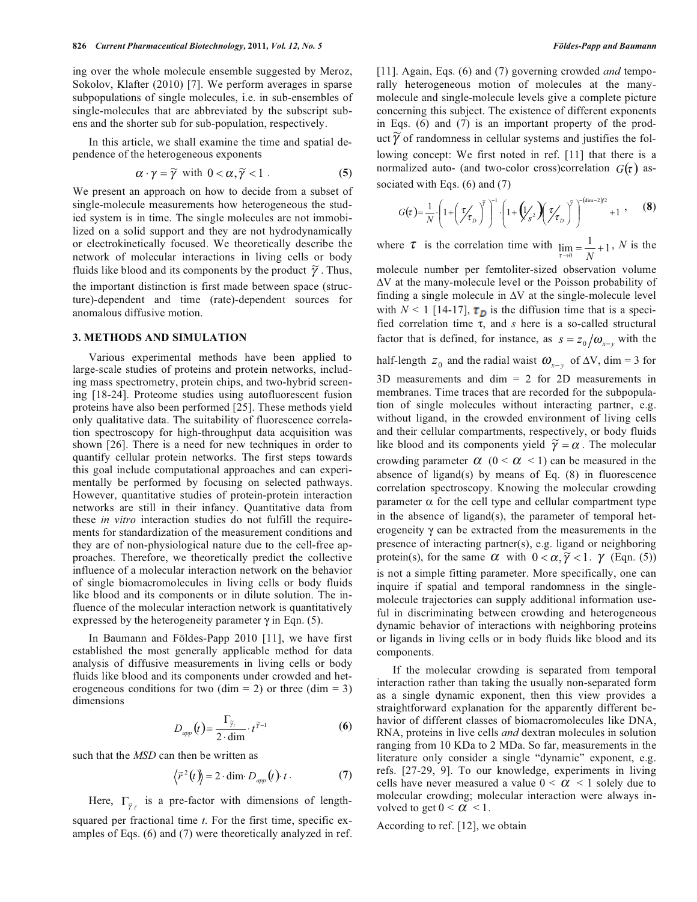ing over the whole molecule ensemble suggested by Meroz, Sokolov, Klafter (2010) [7]. We perform averages in sparse subpopulations of single molecules, i.e. in sub-ensembles of single-molecules that are abbreviated by the subscript subens and the shorter sub for sub-population, respectively.

 In this article, we shall examine the time and spatial dependence of the heterogeneous exponents

$$
\alpha \cdot \gamma = \widetilde{\gamma} \text{ with } 0 < \alpha, \widetilde{\gamma} < 1 \,. \tag{5}
$$

We present an approach on how to decide from a subset of single-molecule measurements how heterogeneous the studied system is in time. The single molecules are not immobilized on a solid support and they are not hydrodynamically or electrokinetically focused. We theoretically describe the network of molecular interactions in living cells or body fluids like blood and its components by the product  $\widetilde{\gamma}$ . Thus, the important distinction is first made between space (structure)-dependent and time (rate)-dependent sources for anomalous diffusive motion.

# **3. METHODS AND SIMULATION**

 Various experimental methods have been applied to large-scale studies of proteins and protein networks, including mass spectrometry, protein chips, and two-hybrid screening [18-24]. Proteome studies using autofluorescent fusion proteins have also been performed [25]. These methods yield only qualitative data. The suitability of fluorescence correlation spectroscopy for high-throughput data acquisition was shown [26]. There is a need for new techniques in order to quantify cellular protein networks. The first steps towards this goal include computational approaches and can experimentally be performed by focusing on selected pathways. However, quantitative studies of protein-protein interaction networks are still in their infancy. Quantitative data from these *in vitro* interaction studies do not fulfill the requirements for standardization of the measurement conditions and they are of non-physiological nature due to the cell-free approaches. Therefore, we theoretically predict the collective influence of a molecular interaction network on the behavior of single biomacromolecules in living cells or body fluids like blood and its components or in dilute solution. The influence of the molecular interaction network is quantitatively expressed by the heterogeneity parameter  $\gamma$  in Eqn. (5).

 In Baumann and Földes-Papp 2010 [11], we have first established the most generally applicable method for data analysis of diffusive measurements in living cells or body fluids like blood and its components under crowded and heterogeneous conditions for two (dim = 2) or three (dim = 3) dimensions

$$
D_{app}(t) = \frac{\Gamma_{\tilde{\gamma}_t}}{2 \cdot \dim} \cdot t^{\tilde{\gamma}-1}
$$
 (6)

such that the *MSD* can then be written as

$$
\vec{r}^2(t) = 2 \cdot \dim D_{app}(t) \cdot t \,. \tag{7}
$$

Here,  $\Gamma_{\tilde{\gamma}_{\ell}}$  is a pre-factor with dimensions of lengthsquared per fractional time *t*. For the first time, specific examples of Eqs. (6) and (7) were theoretically analyzed in ref. [11]. Again, Eqs. (6) and (7) governing crowded *and* temporally heterogeneous motion of molecules at the manymolecule and single-molecule levels give a complete picture concerning this subject. The existence of different exponents in Eqs. (6) and (7) is an important property of the prodand Eqs. (b) and (b) is an important property of the product  $\widetilde{\gamma}$  of randomness in cellular systems and justifies the following concept: We first noted in ref. [11] that there is a normalized auto- (and two-color cross)correlation  $G(\tau)$  associated with Eqs. (6) and (7)

$$
G(\tau) = \frac{1}{N} \cdot \left( 1 + \left( \frac{\tau}{\tau_D} \right)^{\tilde{\gamma}} \right)^{-1} \cdot \left( 1 + \left( \frac{1}{S^2} \right) \left( \frac{\tau}{\tau_D} \right)^{\tilde{\gamma}} \right)^{-(\dim - 2)/2} + 1 , \qquad (8)
$$

where  $\tau$  is the correlation time with  $\lim_{\tau \to 0} = \frac{1}{N} + 1$ , *N* is the

molecule number per femtoliter-sized observation volume  $\Delta V$  at the many-molecule level or the Poisson probability of finding a single molecule in  $\Delta V$  at the single-molecule level with  $N < 1$  [14-17],  $\tau_D$  is the diffusion time that is a specified correlation time  $\tau$ , and  $s$  here is a so-called structural factor that is defined, for instance, as  $s = z_0/\omega_{x-y}$  with the

half-length  $z_0$  and the radial waist  $\omega_{x-y}$  of  $\Delta V$ , dim = 3 for 3D measurements and dim = 2 for 2D measurements in membranes. Time traces that are recorded for the subpopulation of single molecules without interacting partner, e.g. without ligand, in the crowded environment of living cells and their cellular compartments, respectively, or body fluids like blood and its components yield  $\tilde{\gamma} = \alpha$ . The molecular crowding parameter  $\alpha$  (0 <  $\alpha$  < 1) can be measured in the absence of ligand(s) by means of Eq.  $(8)$  in fluorescence correlation spectroscopy. Knowing the molecular crowding parameter  $\alpha$  for the cell type and cellular compartment type in the absence of ligand(s), the parameter of temporal heterogeneity  $\gamma$  can be extracted from the measurements in the presence of interacting partner(s), e.g. ligand or neighboring protein(s), for the same  $\alpha$  with  $0 < \alpha, \widetilde{\gamma} < 1$ .  $\gamma$  (Eqn. (5)) is not a simple fitting parameter. More specifically, one can inquire if spatial and temporal randomness in the singlemolecule trajectories can supply additional information useful in discriminating between crowding and heterogeneous dynamic behavior of interactions with neighboring proteins or ligands in living cells or in body fluids like blood and its components.

 If the molecular crowding is separated from temporal interaction rather than taking the usually non-separated form as a single dynamic exponent, then this view provides a straightforward explanation for the apparently different behavior of different classes of biomacromolecules like DNA, RNA, proteins in live cells *and* dextran molecules in solution ranging from 10 KDa to 2 MDa. So far, measurements in the literature only consider a single "dynamic" exponent, e.g. refs. [27-29, 9]. To our knowledge, experiments in living cells have never measured a value  $0 \le \alpha \le 1$  solely due to molecular crowding; molecular interaction were always involved to get  $0 < \alpha < 1$ .

According to ref. [12], we obtain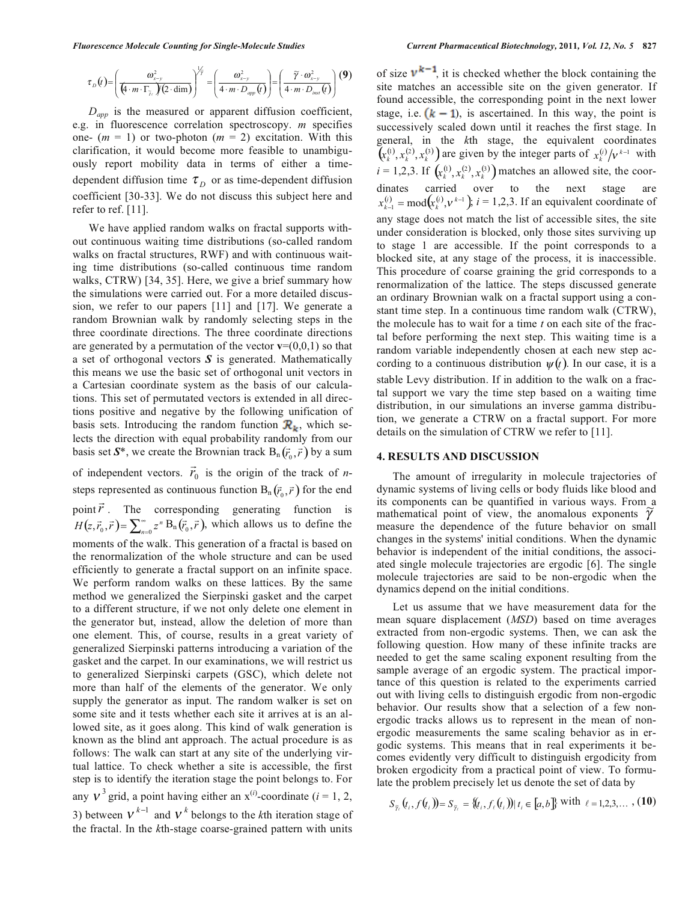$$
\tau_{D}(t) = \left(\frac{\omega_{x-y}^{2}}{(4 \cdot m \cdot \Gamma_{\bar{\gamma}_{\ell}})(2 \cdot \dim)}\right)^{\frac{1}{\bar{\gamma}}} = \left(\frac{\omega_{x-y}^{2}}{4 \cdot m \cdot D_{app}(t)}\right) = \left(\frac{\widetilde{\gamma} \cdot \omega_{x-y}^{2}}{4 \cdot m \cdot D_{\text{last}}(t)}\right)
$$
(9)

 *Dapp* is the measured or apparent diffusion coefficient, e.g. in fluorescence correlation spectroscopy. *m* specifies one-  $(m = 1)$  or two-photon  $(m = 2)$  excitation. With this clarification, it would become more feasible to unambiguously report mobility data in terms of either a timedependent diffusion time  $\tau_{D}$  or as time-dependent diffusion coefficient [30-33]. We do not discuss this subject here and refer to ref. [11].

 We have applied random walks on fractal supports without continuous waiting time distributions (so-called random walks on fractal structures, RWF) and with continuous waiting time distributions (so-called continuous time random walks, CTRW) [34, 35]. Here, we give a brief summary how the simulations were carried out. For a more detailed discussion, we refer to our papers [11] and [17]. We generate a random Brownian walk by randomly selecting steps in the three coordinate directions. The three coordinate directions are generated by a permutation of the vector  $\mathbf{v}=(0,0,1)$  so that a set of orthogonal vectors *S* is generated. Mathematically this means we use the basic set of orthogonal unit vectors in a Cartesian coordinate system as the basis of our calculations. This set of permutated vectors is extended in all directions positive and negative by the following unification of basis sets. Introducing the random function  $\mathcal{R}_{k}$ , which selects the direction with equal probability randomly from our basis set  $S^*$ , we create the Brownian track  $B_n(\vec{r}_0, \vec{r})$  by a sum basis set  $S^*$ , we create the Brownian track  $B_n(\vec{r}_0, \vec{r})$  by a sum

of independent vectors.  $\vec{r}_0$  is the origin of the track of *n*steps represented as continuous function  $B_n(\vec{r}_0, \vec{r})$  for the end point  $\vec{r}$ . The corresponding generating function is  $H(z, \vec{r}_0, \vec{r}) = \sum_{n=0}^{\infty} z^n B_n(\vec{r}_0, \vec{r})$ , which allows us to define the

moments of the walk. This generation of a fractal is based on the renormalization of the whole structure and can be used efficiently to generate a fractal support on an infinite space. We perform random walks on these lattices. By the same method we generalized the Sierpinski gasket and the carpet to a different structure, if we not only delete one element in the generator but, instead, allow the deletion of more than one element. This, of course, results in a great variety of generalized Sierpinski patterns introducing a variation of the gasket and the carpet. In our examinations, we will restrict us to generalized Sierpinski carpets (GSC), which delete not more than half of the elements of the generator. We only supply the generator as input. The random walker is set on some site and it tests whether each site it arrives at is an allowed site, as it goes along. This kind of walk generation is known as the blind ant approach. The actual procedure is as follows: The walk can start at any site of the underlying virtual lattice. To check whether a site is accessible, the first step is to identify the iteration stage the point belongs to. For any  $V^3$  grid, a point having either an  $x^{(i)}$ -coordinate (*i* = 1, 2, 3) between  $V^{k-1}$  and  $V^k$  belongs to the *k*th iteration stage of the fractal. In the *k*th-stage coarse-grained pattern with units

of size  $v^{k-1}$ , it is checked whether the block containing the site matches an accessible site on the given generator. If found accessible, the corresponding point in the next lower stage, i.e.  $(k - 1)$ , is ascertained. In this way, the point is successively scaled down until it reaches the first stage. In general, in the *k*th stage, the equivalent coordinates  $(\mathbf{x}_{k}^{(i)}, \mathbf{x}_{k}^{(i)}, \mathbf{x}_{k}^{(i)})$  are given by the integer parts of  $\mathbf{x}_{k}^{(i)}/v^{k-1}$  with  $i = 1,2,3$ . If  $\left(x_k^{(1)}, x_k^{(2)}, x_k^{(3)}\right)$  matches an allowed site, the coordinates carried over to the next stage are  $x_{k-1}^{(i)} = \text{mod}(x_k^{(i)}, v^{k-1})$ ,  $i = 1, 2, 3$ . If an equivalent coordinate of any stage does not match the list of accessible sites, the site under consideration is blocked, only those sites surviving up to stage 1 are accessible. If the point corresponds to a blocked site, at any stage of the process, it is inaccessible. This procedure of coarse graining the grid corresponds to a renormalization of the lattice. The steps discussed generate an ordinary Brownian walk on a fractal support using a constant time step. In a continuous time random walk (CTRW), the molecule has to wait for a time *t* on each site of the fractal before performing the next step. This waiting time is a random variable independently chosen at each new step according to a continuous distribution  $\psi(t)$ . In our case, it is a stable Levy distribution. If in addition to the walk on a fractal support we vary the time step based on a waiting time distribution, in our simulations an inverse gamma distribution, we generate a CTRW on a fractal support. For more details on the simulation of CTRW we refer to [11].

#### **4. RESULTS AND DISCUSSION**

 The amount of irregularity in molecule trajectories of dynamic systems of living cells or body fluids like blood and its components can be quantified in various ways. From a mathematical point of view, the anomalous exponents  $\gamma$ measure the dependence of the future behavior on small changes in the systems' initial conditions. When the dynamic behavior is independent of the initial conditions, the associated single molecule trajectories are ergodic [6]. The single molecule trajectories are said to be non-ergodic when the dynamics depend on the initial conditions.

 Let us assume that we have measurement data for the mean square displacement (*MSD*) based on time averages extracted from non-ergodic systems. Then, we can ask the following question. How many of these infinite tracks are needed to get the same scaling exponent resulting from the sample average of an ergodic system. The practical importance of this question is related to the experiments carried out with living cells to distinguish ergodic from non-ergodic behavior. Our results show that a selection of a few nonergodic tracks allows us to represent in the mean of nonergodic measurements the same scaling behavior as in ergodic systems. This means that in real experiments it becomes evidently very difficult to distinguish ergodicity from broken ergodicity from a practical point of view. To formulate the problem precisely let us denote the set of data by

$$
S_{\tilde{\gamma}_i}(t_i, f(t_i)) = S_{\tilde{\gamma}_i} = \{(t_i, f_{\ell}(t_i)) | t_i \in [a, b] \} \text{ with } \ell = 1, 2, 3, \dots, (10)
$$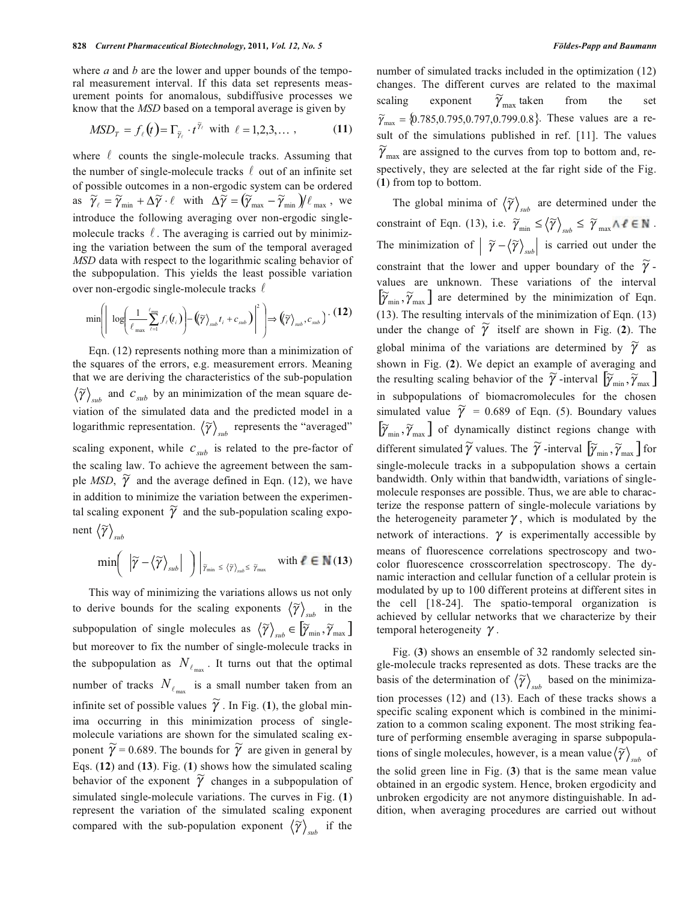where *a* and *b* are the lower and upper bounds of the temporal measurement interval. If this data set represents measurement points for anomalous, subdiffusive processes we know that the *MSD* based on a temporal average is given by

$$
MSD_T = f_{\ell}(t) = \Gamma_{\widetilde{\gamma}_{\ell}} \cdot t^{\widetilde{\gamma}_{\ell}} \text{ with } \ell = 1, 2, 3, \dots,
$$
 (11)

where  $\ell$  counts the single-molecule tracks. Assuming that the number of single-molecule tracks  $\ell$  out of an infinite set of possible outcomes in a non-ergodic system can be ordered as  $\widetilde{\gamma}_{\ell} = \widetilde{\gamma}_{\min} + \Delta \widetilde{\gamma} \cdot \ell$  with  $\Delta \widetilde{\gamma} = (\widetilde{\gamma}_{\max} - \widetilde{\gamma}_{\min})/\ell_{\max}$ , we introduce the following averaging over non-ergodic singlemolecule tracks  $\ell$ . The averaging is carried out by minimizing the variation between the sum of the temporal averaged *MSD* data with respect to the logarithmic scaling behavior of the subpopulation. This yields the least possible variation over non-ergodic single-molecule tracks  $\ell$ 

$$
\min \left( \left| \log \left( \frac{1}{\ell_{\max}} \sum_{\ell=1}^{\ell_{\max}} f_{\ell}(t_i) \right) - \left( \widetilde{\gamma} \right)_{sub} t_i + c_{sub} \right) \right|^2 \right) \Longrightarrow \left( \widetilde{\gamma} \right)_{sub}, c_{sub} \right) \cdot (12)
$$

 Eqn. (12) represents nothing more than a minimization of the squares of the errors, e.g. measurement errors. Meaning that we are deriving the characteristics of the sub-population  $\langle \widetilde{\gamma} \rangle_{sub}$  and  $c_{sub}$  by an minimization of the mean square deviation of the simulated data and the predicted model in a logarithmic representation.  $\langle \widetilde{\gamma} \rangle_{sub}$  represents the "averaged" scaling exponent, while  $c_{sub}$  is related to the pre-factor of the scaling law. To achieve the agreement between the sample *MSD*,  $\widetilde{\gamma}$  and the average defined in Eqn. (12), we have in addition to minimize the variation between the experimental scaling exponent  $\widetilde{\gamma}$  and the sub-population scaling exponent  $\langle \widetilde{\gamma} \rangle$ <sub>sub</sub>

$$
\min\left(\left|\widetilde{\gamma}-\left\langle\widetilde{\gamma}\right\rangle_{sub}\right|\ \right)\Big|_{\widetilde{\gamma}_{min} \ \leq \ \left\langle\widetilde{\gamma}\right\rangle_{sub} \leq \ \widetilde{\gamma}_{max}\quad \text{with } \ell \in \mathbb{N}(13)
$$

 This way of minimizing the variations allows us not only to derive bounds for the scaling exponents  $\langle \widetilde{\gamma} \rangle_{sub}$  in the subpopulation of single molecules as  $\langle \widetilde{\gamma} \rangle_{sub} \in \widetilde{\left[ \widetilde{\gamma}_{min}, \widetilde{\gamma}_{max} \right]}$ but moreover to fix the number of single-molecule tracks in the subpopulation as  $N_{\ell_{\text{max}}}$ . It turns out that the optimal number of tracks  $N_{\ell_{\text{max}}}$  is a small number taken from an infinite set of possible values  $\widetilde{\gamma}$ . In Fig. (1), the global minima occurring in this minimization process of singlemolecule variations are shown for the simulated scaling exponent  $\widetilde{\gamma}$  = 0.689. The bounds for  $\widetilde{\gamma}$  are given in general by Eqs. (**12**) and (**13**). Fig. (**1**) shows how the simulated scaling behavior of the exponent  $\widetilde{\gamma}$  changes in a subpopulation of simulated single-molecule variations. The curves in Fig. (**1**) represent the variation of the simulated scaling exponent compared with the sub-population exponent  $\langle \widetilde{\gamma} \rangle_{sub}$  if the number of simulated tracks included in the optimization (12) changes. The different curves are related to the maximal scaling exponent  $\widetilde{\gamma}_{\text{max}}$  taken from the set  ${\tilde{\gamma}}_{\text{max}} = \{0.785, 0.795, 0.797, 0.799.0.8\}$ . These values are a result of the simulations published in ref. [11]. The values  $\widetilde{\gamma}_{\text{max}}$  are assigned to the curves from top to bottom and, respectively, they are selected at the far right side of the Fig. (**1**) from top to bottom.

The global minima of  $\langle \widetilde{\gamma} \rangle_{sub}$  are determined under the constraint of Eqn. (13), i.e.  $\widetilde{\gamma}_{min} \leq \langle \widetilde{\gamma} \rangle_{sub} \leq \widetilde{\gamma}_{max} \wedge \ell \in \mathbb{N}$ . The minimization of  $\left| \tilde{\gamma} - \langle \tilde{\gamma} \rangle_{sub} \right|$  is carried out under the constraint that the lower and upper boundary of the  $\widetilde{\gamma}$ . values are unknown. These variations of the interval  $[\widetilde{\gamma}_{\min}, \widetilde{\gamma}_{\max}]$  are determined by the minimization of Eqn. (13). The resulting intervals of the minimization of Eqn. (13) under the change of  $\widetilde{\gamma}$  itself are shown in Fig. (2). The global minima of the variations are determined by  $\widetilde{\gamma}$  as shown in Fig. (**2**). We depict an example of averaging and the resulting scaling behavior of the  $\tilde{\gamma}$ -interval  $[\tilde{\gamma}_{\min}, \tilde{\gamma}_{\max}]$ in subpopulations of biomacromolecules for the chosen simulated value  $\tilde{\gamma}$  = 0.689 of Eqn. (5). Boundary values  $[\widetilde{\gamma}_{\min}, \widetilde{\gamma}_{\max}]$  of dynamically distinct regions change with different simulated  $\widetilde{\gamma}$  values. The  $\widetilde{\gamma}$  -interval  $[\widetilde{\gamma}_{\min}, \widetilde{\gamma}_{\max}]$  for single-molecule tracks in a subpopulation shows a certain bandwidth. Only within that bandwidth, variations of singlemolecule responses are possible. Thus, we are able to characterize the response pattern of single-molecule variations by the heterogeneity parameter  $\gamma$ , which is modulated by the network of interactions.  $\gamma$  is experimentally accessible by means of fluorescence correlations spectroscopy and twocolor fluorescence crosscorrelation spectroscopy. The dynamic interaction and cellular function of a cellular protein is modulated by up to 100 different proteins at different sites in the cell [18-24]. The spatio-temporal organization is achieved by cellular networks that we characterize by their temporal heterogeneity  $\gamma$ .

 Fig. (**3**) shows an ensemble of 32 randomly selected single-molecule tracks represented as dots. These tracks are the basis of the determination of  $\langle \widetilde{\gamma} \rangle_{sub}$  based on the minimization processes (12) and (13). Each of these tracks shows a specific scaling exponent which is combined in the minimization to a common scaling exponent. The most striking feature of performing ensemble averaging in sparse subpopulations of single molecules, however, is a mean value  $\langle \tilde{\gamma} \rangle_{sub}$  of the solid green line in Fig. (**3**) that is the same mean value obtained in an ergodic system. Hence, broken ergodicity and unbroken ergodicity are not anymore distinguishable. In addition, when averaging procedures are carried out without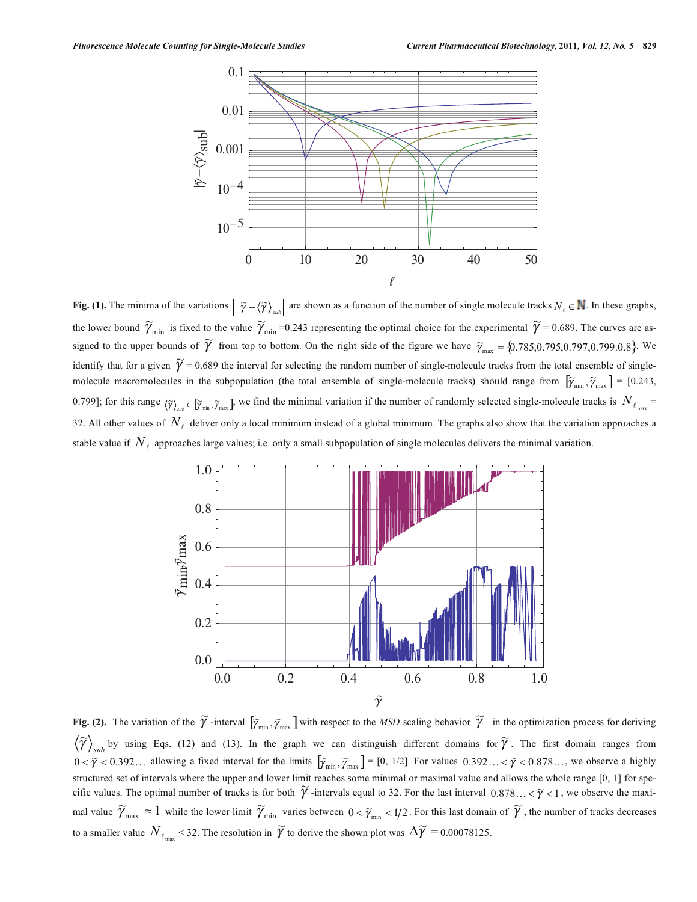

**Fig. (1).** The minima of the variations  $\left| \tilde{\gamma} - \langle \tilde{\gamma} \rangle_{sub} \right|$  are shown as a function of the number of single molecule tracks  $N_e \in \mathbb{N}$ . In these graphs, the lower bound  $\widetilde{\gamma}_{min}$  is fixed to the value  $\widetilde{\gamma}_{min}$ =0.243 representing the optimal choice for the experimental  $\widetilde{\gamma}$  = 0.689. The curves are assigned to the upper bounds of  $\tilde{\gamma}$  from top to bottom. On the right side of the figure we have  $\tilde{\gamma}_{\text{max}} = \{0.785, 0.795, 0.797, 0.799.0.8\}$ . We identify that for a given  $\tilde{\gamma}$  = 0.689 the interval for selecting the random number of single-molecule tracks from the total ensemble of singlemolecule macromolecules in the subpopulation (the total ensemble of single-molecule tracks) should range from  $[\tilde{\gamma}_{min}, \tilde{\gamma}_{max}] = [0.243,$ 0.799]; for this range  $\langle \tilde{\gamma} \rangle_{sub} \in [\tilde{\gamma}_{min}, \tilde{\gamma}_{max}]$ , we find the minimal variation if the number of randomly selected single-molecule tracks is  $N_{\ell_{max}}$ 32. All other values of  $N_\ell$  deliver only a local minimum instead of a global minimum. The graphs also show that the variation approaches a stable value if  $N_{\ell}$  approaches large values; i.e. only a small subpopulation of single molecules delivers the minimal variation.



**Fig. (2).** The variation of the  $\widetilde{\gamma}$  -interval  $[\widetilde{\gamma}_{min}, \widetilde{\gamma}_{max}]$  with respect to the *MSD* scaling behavior  $\widetilde{\gamma}$  in the optimization process for deriving  $\langle \widetilde{\gamma} \rangle_{sub}$  by using Eqs. (12) and (13). In the graph we can distinguish different domains for  $\widetilde{\gamma}$ . The first domain ranges from  $0 < \tilde{\gamma} < 0.392...$  allowing a fixed interval for the limits  $[\tilde{\gamma}_{min}, \tilde{\gamma}_{max}] = [0, 1/2]$ . For values  $0.392... < \tilde{\gamma} < 0.878...$ , we observe a highly structured set of intervals where the upper and lower limit reaches some minimal or maximal value and allows the whole range [0, 1] for specific values. The optimal number of tracks is for both  $\tilde{\gamma}$  -intervals equal to 32. For the last interval  $0.878... < \tilde{\gamma} < 1$ , we observe the maximal value  $\widetilde{\gamma}_{\max} \approx 1$  while the lower limit  $\widetilde{\gamma}_{\min}$  varies between  $0 < \widetilde{\gamma}_{\min} < 1/2$ . For this last domain of  $\widetilde{\gamma}$ , the number of tracks decreases to a smaller value  $N_{\ell_{\text{max}}}$  < 32. The resolution in  $\widetilde{\gamma}$  to derive the shown plot was  $\Delta \widetilde{\gamma} = 0.00078125$ .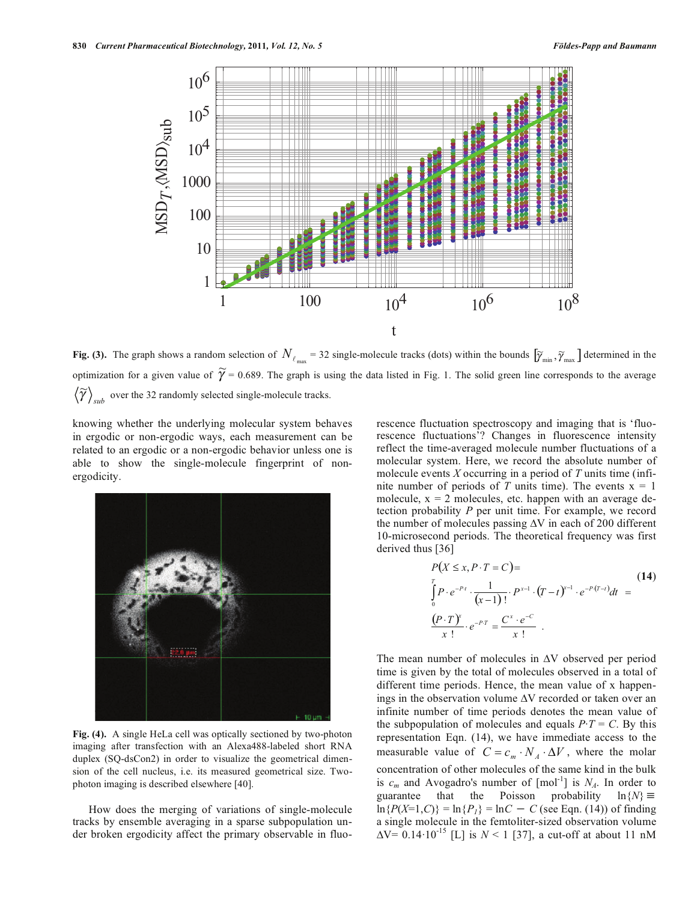

**Fig. (3).** The graph shows a random selection of  $N_{\ell_{\text{max}}}$  = 32 single-molecule tracks (dots) within the bounds  $[\tilde{\gamma}_{\text{min}}, \tilde{\gamma}_{\text{max}}]$  determined in the optimization for a given value of  $\widetilde{\gamma}$  = 0.689. The graph is using the data listed in Fig. 1. The solid green line corresponds to the average  $\langle \widetilde{\gamma} \rangle_{sub}$  over the 32 randomly selected single-molecule tracks.

knowing whether the underlying molecular system behaves in ergodic or non-ergodic ways, each measurement can be related to an ergodic or a non-ergodic behavior unless one is able to show the single-molecule fingerprint of nonergodicity.



**Fig. (4).** A single HeLa cell was optically sectioned by two-photon imaging after transfection with an Alexa488-labeled short RNA duplex (SQ-dsCon2) in order to visualize the geometrical dimension of the cell nucleus, i.e. its measured geometrical size. Twophoton imaging is described elsewhere [40].

 How does the merging of variations of single-molecule tracks by ensemble averaging in a sparse subpopulation under broken ergodicity affect the primary observable in fluorescence fluctuation spectroscopy and imaging that is 'fluorescence fluctuations'? Changes in fluorescence intensity reflect the time-averaged molecule number fluctuations of a molecular system. Here, we record the absolute number of molecule events *X* occurring in a period of *T* units time (infinite number of periods of *T* units time). The events  $x = 1$ molecule,  $x = 2$  molecules, etc. happen with an average detection probability *P* per unit time. For example, we record the number of molecules passing  $\Delta V$  in each of 200 different 10-microsecond periods. The theoretical frequency was first derived thus [36]

$$
P(X \le x, P \cdot T = C) =
$$
\n
$$
\int_{0}^{T} P \cdot e^{-P \cdot t} \cdot \frac{1}{(x-1)!} \cdot P^{x-1} \cdot (T-t)^{x-1} \cdot e^{-P \cdot (T-t)} dt =
$$
\n
$$
\frac{(P \cdot T)^{x}}{x!} \cdot e^{-P \cdot T} = \frac{C^{x} \cdot e^{-C}}{x!}.
$$
\n(14)

The mean number of molecules in  $\Delta V$  observed per period time is given by the total of molecules observed in a total of different time periods. Hence, the mean value of x happenings in the observation volume  $\Delta V$  recorded or taken over an infinite number of time periods denotes the mean value of the subpopulation of molecules and equals  $P \cdot T = C$ . By this representation Eqn. (14), we have immediate access to the measurable value of  $C = c_m \cdot N_A \cdot \Delta V$ , where the molar concentration of other molecules of the same kind in the bulk is  $c_m$  and Avogadro's number of  $[mol^{-1}]$  is  $N_A$ . In order to guarantee that the Poisson probability  $\ln\{N\} \equiv$ guarantee that the Poisson  $\ln\{P(X=1, C)\} = \ln\{P_I\} = \ln C - C$  (see Eqn. (14)) of finding a single molecule in the femtoliter-sized observation volume  $\Delta V = 0.14 \cdot 10^{-15}$  [L] is  $N < 1$  [37], a cut-off at about 11 nM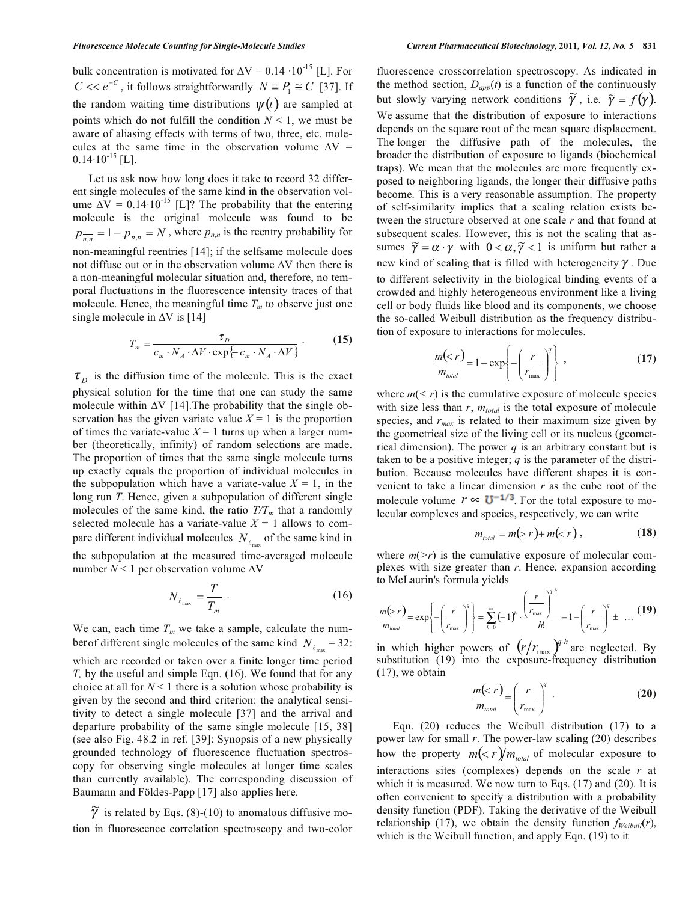bulk concentration is motivated for  $\Delta V = 0.14 \cdot 10^{-15}$  [L]. For  $C \ll e^{-C}$ , it follows straightforwardly  $N \equiv P_1 \cong C$  [37]. If the random waiting time distributions  $\psi(t)$  are sampled at points which do not fulfill the condition  $N \leq 1$ , we must be aware of aliasing effects with terms of two, three, etc. molecules at the same time in the observation volume  $\Delta V =$  $0.14 \cdot 10^{-15}$  [L].

 Let us ask now how long does it take to record 32 different single molecules of the same kind in the observation volume  $\Delta V = 0.14 \cdot 10^{-15}$  [L]? The probability that the entering molecule is the original molecule was found to be  $p_{n,n}^- = 1 - p_{n,n} = N$ , where  $p_{n,n}$  is the reentry probability for non-meaningful reentries [14]; if the selfsame molecule does not diffuse out or in the observation volume  $\Delta V$  then there is a non-meaningful molecular situation and, therefore, no temporal fluctuations in the fluorescence intensity traces of that molecule. Hence, the meaningful time  $T_m$  to observe just one single molecule in  $\Delta V$  is [14]

$$
T_m = \frac{\tau_D}{c_m \cdot N_A \cdot \Delta V \cdot \exp\{-c_m \cdot N_A \cdot \Delta V\}}.
$$
 (15)

 $\tau_{D}$  is the diffusion time of the molecule. This is the exact physical solution for the time that one can study the same molecule within  $\Delta V$  [14]. The probability that the single observation has the given variate value  $X = 1$  is the proportion of times the variate-value  $X = 1$  turns up when a larger number (theoretically, infinity) of random selections are made. The proportion of times that the same single molecule turns up exactly equals the proportion of individual molecules in the subpopulation which have a variate-value  $X = 1$ , in the long run *T*. Hence, given a subpopulation of different single molecules of the same kind, the ratio  $T/T_m$  that a randomly selected molecule has a variate-value  $X = 1$  allows to compare different individual molecules  $N_{\ell_{\text{max}}}$  of the same kind in the subpopulation at the measured time-averaged molecule number  $N < 1$  per observation volume  $\Delta V$ 

$$
N_{\ell_{\max}} = \frac{T}{T_m} \tag{16}
$$

We can, each time  $T_m$  we take a sample, calculate the number of different single molecules of the same kind  $N_{\ell_{\text{max}}} = 32$ : which are recorded or taken over a finite longer time period *T*, by the useful and simple Eqn. (16). We found that for any choice at all for  $N < 1$  there is a solution whose probability is given by the second and third criterion: the analytical sensitivity to detect a single molecule [37] and the arrival and departure probability of the same single molecule [15, 38] (see also Fig. 48.2 in ref. [39]: Synopsis of a new physically grounded technology of fluorescence fluctuation spectroscopy for observing single molecules at longer time scales than currently available). The corresponding discussion of Baumann and Földes-Papp [17] also applies here.

 $\widetilde{\gamma}$  is related by Eqs. (8)-(10) to anomalous diffusive motion in fluorescence correlation spectroscopy and two-color fluorescence crosscorrelation spectroscopy. As indicated in the method section,  $D_{app}(t)$  is a function of the continuously but slowly varying network conditions  $\tilde{\gamma}$ , i.e.  $\tilde{\gamma} = f(\gamma)$ . We assume that the distribution of exposure to interactions depends on the square root of the mean square displacement. The longer the diffusive path of the molecules, the broader the distribution of exposure to ligands (biochemical traps). We mean that the molecules are more frequently exposed to neighboring ligands, the longer their diffusive paths become. This is a very reasonable assumption. The property of self-similarity implies that a scaling relation exists between the structure observed at one scale *r* and that found at subsequent scales. However, this is not the scaling that assubsequent search from every, and is not are searing that as new kind of scaling that is filled with heterogeneity  $\gamma$ . Due to different selectivity in the biological binding events of a crowded and highly heterogeneous environment like a living cell or body fluids like blood and its components, we choose the so-called Weibull distribution as the frequency distribution of exposure to interactions for molecules.

$$
\frac{m(
$$

where  $m(< r)$  is the cumulative exposure of molecule species with size less than  $r$ ,  $m_{total}$  is the total exposure of molecule species, and  $r_{max}$  is related to their maximum size given by the geometrical size of the living cell or its nucleus (geometrical dimension). The power *q* is an arbitrary constant but is taken to be a positive integer; *q* is the parameter of the distribution. Because molecules have different shapes it is convenient to take a linear dimension *r* as the cube root of the molecule volume  $r \propto U^{-1/3}$ . For the total exposure to molecular complexes and species, respectively, we can write

$$
m_{\text{total}} = m(> r) + m(< r), \qquad (18)
$$

where  $m(\geq r)$  is the cumulative exposure of molecular complexes with size greater than *r*. Hence, expansion according to McLaurin's formula yields

$$
\frac{m(p) r}{m_{total}} = \exp\left\{-\left(\frac{r}{r_{\text{max}}}\right)^q\right\} = \sum_{h=0}^{\infty} (-1)^h \cdot \frac{\left(\frac{r}{r_{\text{max}}}\right)^{q+h}}{h!} = 1 - \left(\frac{r}{r_{\text{max}}}\right)^q \pm \dots (19)
$$

in which higher powers of  $(r/r_{\text{max}})^{n/h}$  are neglected. By substitution (19) into the exposure-frequency distribution (17), we obtain

$$
\frac{m(
$$

 Eqn. (20) reduces the Weibull distribution (17) to a power law for small *r*. The power-law scaling (20) describes how the property  $m(< r) / m_{total}$  of molecular exposure to interactions sites (complexes) depends on the scale *r* at which it is measured. We now turn to Eqs. (17) and (20). It is often convenient to specify a distribution with a probability density function (PDF). Taking the derivative of the Weibull relationship (17), we obtain the density function  $f_{Weibull}(r)$ , which is the Weibull function, and apply Eqn. (19) to it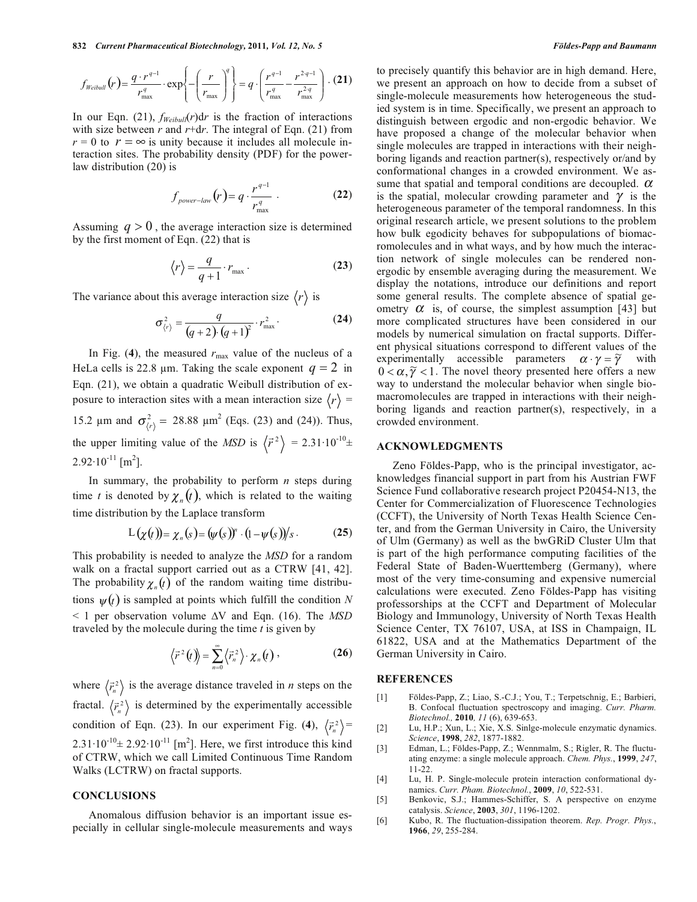**832** *Current Pharmaceutical Biotechnology,* **2011***, Vol. 12, No. 5 Földes-Papp and Baumann* 

$$
f_{\text{Weibull}}(r) = \frac{q \cdot r^{q-1}}{r_{\text{max}}^q} \cdot \exp\left\{-\left(\frac{r}{r_{\text{max}}}\right)^q\right\} = q \cdot \left(\frac{r^{q-1}}{r_{\text{max}}^q} - \frac{r^{2\cdot q-1}}{r_{\text{max}}^{2\cdot q}}\right) \cdot (21)
$$

In our Eqn. (21),  $f_{Weibull}(r)dr$  is the fraction of interactions with size between *r* and *r*+d*r*. The integral of Eqn. (21) from  $r = 0$  to  $r = \infty$  is unity because it includes all molecule interaction sites. The probability density (PDF) for the powerlaw distribution (20) is

$$
f_{power-law}(r) = q \cdot \frac{r^{q-1}}{r_{\text{max}}^q} \tag{22}
$$

Assuming  $q > 0$ , the average interaction size is determined by the first moment of Eqn. (22) that is

$$
\langle r \rangle = \frac{q}{q+1} \cdot r_{\text{max}} \,. \tag{23}
$$

The variance about this average interaction size  $\langle r \rangle$  is

$$
\sigma_{\langle r\rangle}^2 = \frac{q}{(q+2) \cdot (q+1)^2} \cdot r_{\text{max}}^2.
$$
 (24)

In Fig. (4), the measured  $r_{\text{max}}$  value of the nucleus of a HeLa cells is 22.8  $\mu$ m. Taking the scale exponent  $q = 2$  in Eqn. (21), we obtain a quadratic Weibull distribution of exposure to interaction sites with a mean interaction size  $\langle r \rangle$  = 15.2  $\mu$ m and  $\sigma_{\langle r \rangle}^2 = 28.88 \mu m^2$  (Eqs. (23) and (24)). Thus, the upper limiting value of the *MSD* is  $\langle \vec{r}^2 \rangle$  $\vec{r}^2$  = 2.31.10<sup>-10</sup>±  $2.92 \cdot 10^{-11}$  [m<sup>2</sup>].

 In summary, the probability to perform *n* steps during time *t* is denoted by  $\chi_n(t)$ , which is related to the waiting time distribution by the Laplace transform

$$
L(\chi(t)) = \chi_n(s) = (\psi(s))^n \cdot (1 - \psi(s))/s \,. \tag{25}
$$

This probability is needed to analyze the *MSD* for a random walk on a fractal support carried out as a CTRW [41, 42]. The probability  $\chi_n(t)$  of the random waiting time distributions  $\psi(t)$  is sampled at points which fulfill the condition *N*  $\leq$  1 per observation volume  $\Delta V$  and Eqn. (16). The *MSD* traveled by the molecule during the time *t* is given by

$$
\langle \vec{r}^2(t) \rangle = \sum_{n=0}^{\infty} \langle \vec{r}_n^2 \rangle \cdot \chi_n(t) \, , \qquad (26)
$$

where  $\left\langle \vec{r}_n^2 \right\rangle$  $\vec{r}$ <sup>2</sup>) is the average distance traveled in *n* steps on the fractal.  $\left\langle \vec{r}_n^{\,2}\right\rangle$  $\langle \vec{r}_i^2 \rangle$  is determined by the experimentally accessible condition of Eqn. (23). In our experiment Fig. (4),  $\langle \vec{r}_n^2 \rangle$  $\vec{r}^{\,2}_{\cdot}\}$  =  $2.31 \cdot 10^{-10} \pm 2.92 \cdot 10^{-11}$  [m<sup>2</sup>]. Here, we first introduce this kind of CTRW, which we call Limited Continuous Time Random Walks (LCTRW) on fractal supports.

## **CONCLUSIONS**

 Anomalous diffusion behavior is an important issue especially in cellular single-molecule measurements and ways to precisely quantify this behavior are in high demand. Here, we present an approach on how to decide from a subset of single-molecule measurements how heterogeneous the studied system is in time. Specifically, we present an approach to distinguish between ergodic and non-ergodic behavior. We have proposed a change of the molecular behavior when single molecules are trapped in interactions with their neighboring ligands and reaction partner(s), respectively or/and by conformational changes in a crowded environment. We assume that spatial and temporal conditions are decoupled.  $\alpha$ is the spatial, molecular crowding parameter and  $\gamma$  is the heterogeneous parameter of the temporal randomness. In this original research article, we present solutions to the problem how bulk egodicity behaves for subpopulations of biomacromolecules and in what ways, and by how much the interaction network of single molecules can be rendered nonergodic by ensemble averaging during the measurement. We display the notations, introduce our definitions and report some general results. The complete absence of spatial geometry  $\alpha$  is, of course, the simplest assumption [43] but more complicated structures have been considered in our models by numerical simulation on fractal supports. Different physical situations correspond to different values of the experimentally accessible parameters  $\alpha \cdot \gamma = \tilde{\gamma}$  with  $0 < \alpha, \tilde{\gamma} < 1$ . The novel theory presented here offers a new way to understand the molecular behavior when single biomacromolecules are trapped in interactions with their neighboring ligands and reaction partner(s), respectively, in a crowded environment.

### **ACKNOWLEDGMENTS**

 Zeno Földes-Papp, who is the principal investigator, acknowledges financial support in part from his Austrian FWF Science Fund collaborative research project P20454-N13, the Center for Commercialization of Fluorescence Technologies (CCFT), the University of North Texas Health Science Center, and from the German University in Cairo, the University of Ulm (Germany) as well as the bwGRiD Cluster Ulm that is part of the high performance computing facilities of the Federal State of Baden-Wuerttemberg (Germany), where most of the very time-consuming and expensive numercial calculations were executed. Zeno Földes-Papp has visiting professorships at the CCFT and Department of Molecular Biology and Immunology, University of North Texas Health Science Center, TX 76107, USA, at ISS in Champaign, IL 61822, USA and at the Mathematics Department of the German University in Cairo.

#### **REFERENCES**

- [1] Földes-Papp, Z.; Liao, S.-C.J.; You, T.; Terpetschnig, E.; Barbieri, B. Confocal fluctuation spectroscopy and imaging. *Curr. Pharm. Biotechnol.,* **2010***, 11* (6), 639-653.
- [2] Lu, H.P.; Xun, L.; Xie, X.S. Sinlge-molecule enzymatic dynamics. *Science*, **1998**, *282*, 1877-1882.
- [3] Edman, L.; Földes-Papp, Z.; Wennmalm, S.; Rigler, R. The fluctuating enzyme: a single molecule approach. *Chem. Phys.*, **1999**, *247*, 11-22.
- [4] Lu, H. P. Single-molecule protein interaction conformational dynamics. *Curr. Pham. Biotechnol.*, **2009**, *10*, 522-531.
- [5] Benkovic, S.J.; Hammes-Schiffer, S. A perspective on enzyme catalysis. *Science*, **2003**, *301*, 1196-1202.
- [6] Kubo, R. The fluctuation-dissipation theorem. *Rep. Progr. Phys.*, **1966**, *29*, 255-284.